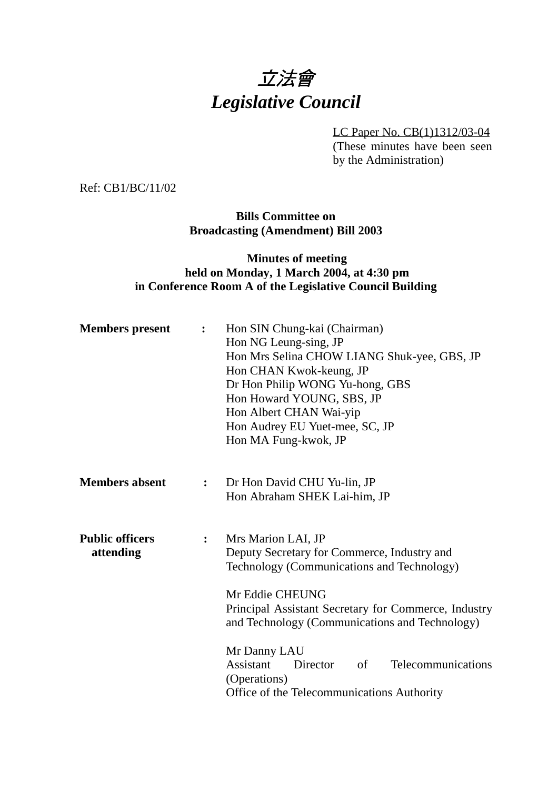

LC Paper No. CB(1)1312/03-04

(These minutes have been seen by the Administration)

Ref: CB1/BC/11/02

**Bills Committee on Broadcasting (Amendment) Bill 2003**

### **Minutes of meeting held on Monday, 1 March 2004, at 4:30 pm in Conference Room A of the Legislative Council Building**

| <b>Members</b> present                                | $\ddot{\cdot}$ | Hon SIN Chung-kai (Chairman)<br>Hon NG Leung-sing, JP<br>Hon Mrs Selina CHOW LIANG Shuk-yee, GBS, JP<br>Hon CHAN Kwok-keung, JP<br>Dr Hon Philip WONG Yu-hong, GBS<br>Hon Howard YOUNG, SBS, JP<br>Hon Albert CHAN Wai-yip<br>Hon Audrey EU Yuet-mee, SC, JP<br>Hon MA Fung-kwok, JP                                                      |  |
|-------------------------------------------------------|----------------|-------------------------------------------------------------------------------------------------------------------------------------------------------------------------------------------------------------------------------------------------------------------------------------------------------------------------------------------|--|
| <b>Members absent</b>                                 | $\ddot{\cdot}$ | Dr Hon David CHU Yu-lin, JP<br>Hon Abraham SHEK Lai-him, JP                                                                                                                                                                                                                                                                               |  |
| <b>Public officers</b><br>$\ddot{\cdot}$<br>attending |                | Mrs Marion LAI, JP<br>Deputy Secretary for Commerce, Industry and<br>Technology (Communications and Technology)<br>Mr Eddie CHEUNG<br>Principal Assistant Secretary for Commerce, Industry<br>and Technology (Communications and Technology)<br>Mr Danny LAU<br>Assistant<br>Director<br>Telecommunications<br>$\sigma$ f<br>(Operations) |  |
|                                                       |                | Office of the Telecommunications Authority                                                                                                                                                                                                                                                                                                |  |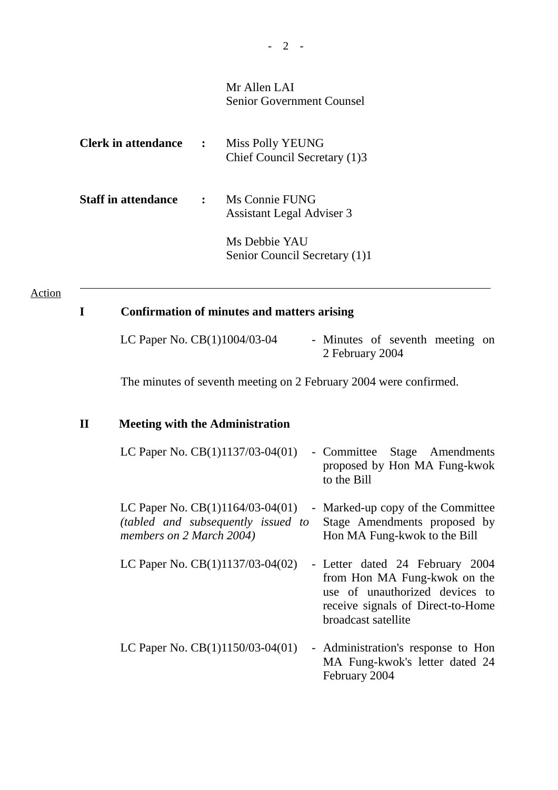## Mr Allen LAI Senior Government Counsel

| <b>Clerk in attendance</b> | $\mathbf{B}$ | Miss Polly YEUNG<br>Chief Council Secretary (1)3   |
|----------------------------|--------------|----------------------------------------------------|
| <b>Staff in attendance</b> | $\mathbf{r}$ | Ms Connie FUNG<br><b>Assistant Legal Adviser 3</b> |
|                            |              | Ms Debbie YAU<br>Senior Council Secretary (1)1     |

### Action

 $\overline{a}$ 

# **I Confirmation of minutes and matters arising**

| LC Paper No. CB(1)1004/03-04 | - Minutes of seventh meeting on |  |  |
|------------------------------|---------------------------------|--|--|
|                              | 2 February 2004                 |  |  |

The minutes of seventh meeting on 2 February 2004 were confirmed.

# **II Meeting with the Administration**

| LC Paper No. $CB(1)1137/03-04(01)$                                                                   | - Committee Stage Amendments<br>proposed by Hon MA Fung-kwok<br>to the Bill                                                                                   |
|------------------------------------------------------------------------------------------------------|---------------------------------------------------------------------------------------------------------------------------------------------------------------|
| LC Paper No. $CB(1)1164/03-04(01)$<br>(tabled and subsequently issued to<br>members on 2 March 2004) | - Marked-up copy of the Committee<br>Stage Amendments proposed by<br>Hon MA Fung-kwok to the Bill                                                             |
| LC Paper No. $CB(1)1137/03-04(02)$                                                                   | - Letter dated 24 February 2004<br>from Hon MA Fung-kwok on the<br>use of unauthorized devices to<br>receive signals of Direct-to-Home<br>broadcast satellite |
| LC Paper No. $CB(1)1150/03-04(01)$                                                                   | - Administration's response to Hon<br>MA Fung-kwok's letter dated 24<br>February 2004                                                                         |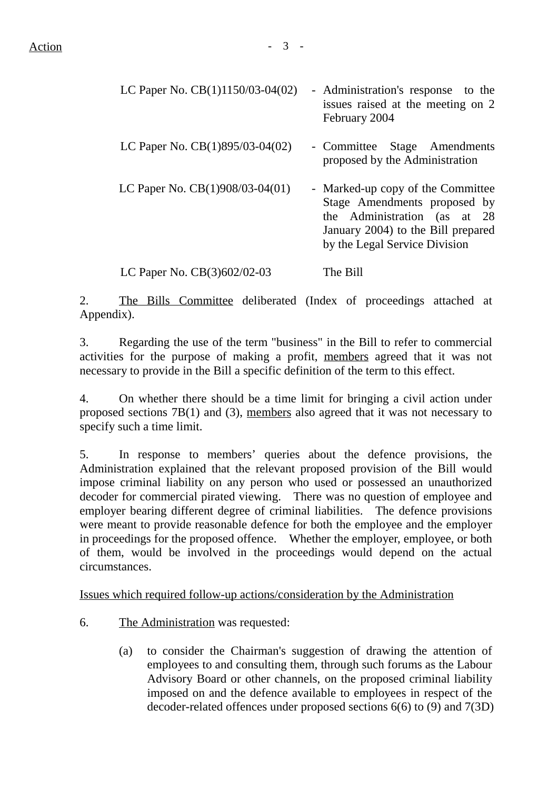| LC Paper No. CB(1)1150/03-04(02)  | - Administration's response to the<br>issues raised at the meeting on 2<br>February 2004                                                                                      |
|-----------------------------------|-------------------------------------------------------------------------------------------------------------------------------------------------------------------------------|
| LC Paper No. $CB(1)895/03-04(02)$ | - Committee<br>Stage Amendments<br>proposed by the Administration                                                                                                             |
| LC Paper No. CB(1)908/03-04(01)   | - Marked-up copy of the Committee<br>Stage Amendments proposed by<br>the Administration (as at<br>- 28<br>January 2004) to the Bill prepared<br>by the Legal Service Division |
| LC Paper No. CB(3)602/02-03       | The Bill                                                                                                                                                                      |

2. The Bills Committee deliberated (Index of proceedings attached at Appendix).

3. Regarding the use of the term "business" in the Bill to refer to commercial activities for the purpose of making a profit, members agreed that it was not necessary to provide in the Bill a specific definition of the term to this effect.

4. On whether there should be a time limit for bringing a civil action under proposed sections 7B(1) and (3), members also agreed that it was not necessary to specify such a time limit.

5. In response to members' queries about the defence provisions, the Administration explained that the relevant proposed provision of the Bill would impose criminal liability on any person who used or possessed an unauthorized decoder for commercial pirated viewing. There was no question of employee and employer bearing different degree of criminal liabilities. The defence provisions were meant to provide reasonable defence for both the employee and the employer in proceedings for the proposed offence. Whether the employer, employee, or both of them, would be involved in the proceedings would depend on the actual circumstances.

Issues which required follow-up actions/consideration by the Administration

- 6. The Administration was requested:
	- (a) to consider the Chairman's suggestion of drawing the attention of employees to and consulting them, through such forums as the Labour Advisory Board or other channels, on the proposed criminal liability imposed on and the defence available to employees in respect of the decoder-related offences under proposed sections 6(6) to (9) and 7(3D)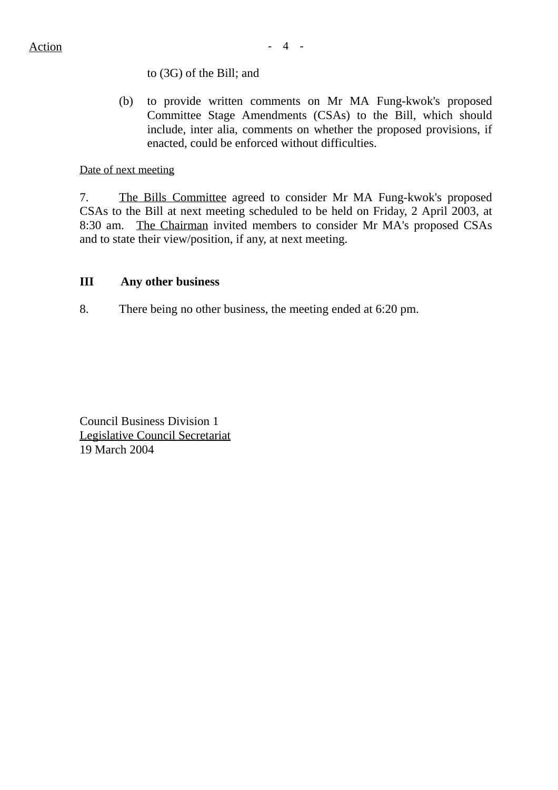### to (3G) of the Bill; and

(b) to provide written comments on Mr MA Fung-kwok's proposed Committee Stage Amendments (CSAs) to the Bill, which should include, inter alia, comments on whether the proposed provisions, if enacted, could be enforced without difficulties.

#### Date of next meeting

7. The Bills Committee agreed to consider Mr MA Fung-kwok's proposed CSAs to the Bill at next meeting scheduled to be held on Friday, 2 April 2003, at 8:30 am. The Chairman invited members to consider Mr MA's proposed CSAs and to state their view/position, if any, at next meeting.

### **III Any other business**

8. There being no other business, the meeting ended at 6:20 pm.

Council Business Division 1 Legislative Council Secretariat 19 March 2004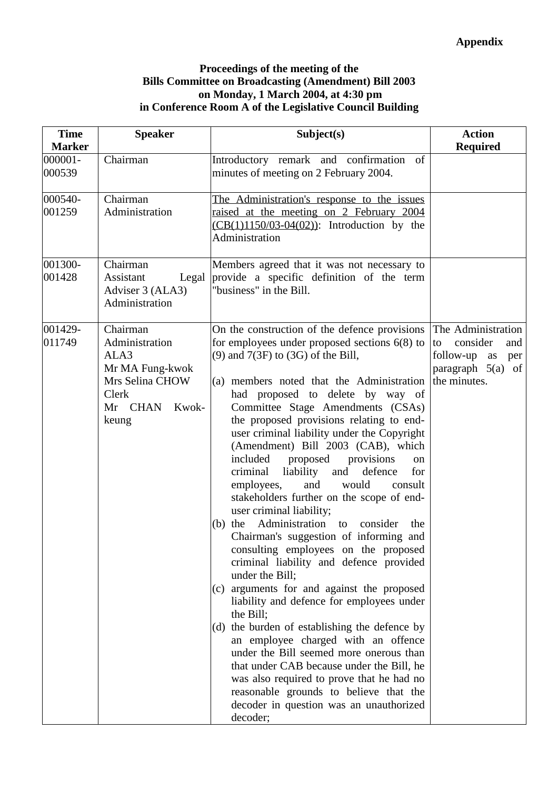### **Proceedings of the meeting of the Bills Committee on Broadcasting (Amendment) Bill 2003 on Monday, 1 March 2004, at 4:30 pm in Conference Room A of the Legislative Council Building**

| <b>Time</b>       | <b>Speaker</b>                                                                                                 | Subject(s)                                                                                                                                                                                                                                                                                                                                                                                                                                                                                                                                                                                                                                                                                                                                                                                                                                                                                                                                                                                                                                                                                                                                                                                                                                             | <b>Action</b>                                                                                                |
|-------------------|----------------------------------------------------------------------------------------------------------------|--------------------------------------------------------------------------------------------------------------------------------------------------------------------------------------------------------------------------------------------------------------------------------------------------------------------------------------------------------------------------------------------------------------------------------------------------------------------------------------------------------------------------------------------------------------------------------------------------------------------------------------------------------------------------------------------------------------------------------------------------------------------------------------------------------------------------------------------------------------------------------------------------------------------------------------------------------------------------------------------------------------------------------------------------------------------------------------------------------------------------------------------------------------------------------------------------------------------------------------------------------|--------------------------------------------------------------------------------------------------------------|
| <b>Marker</b>     |                                                                                                                |                                                                                                                                                                                                                                                                                                                                                                                                                                                                                                                                                                                                                                                                                                                                                                                                                                                                                                                                                                                                                                                                                                                                                                                                                                                        | <b>Required</b>                                                                                              |
| 000001-<br>000539 | Chairman                                                                                                       | Introductory remark and confirmation<br>of<br>minutes of meeting on 2 February 2004.                                                                                                                                                                                                                                                                                                                                                                                                                                                                                                                                                                                                                                                                                                                                                                                                                                                                                                                                                                                                                                                                                                                                                                   |                                                                                                              |
| 000540-<br>001259 | Chairman<br>Administration                                                                                     | The Administration's response to the issues<br>raised at the meeting on 2 February 2004<br>$(CB(1)1150/03-04(02))$ : Introduction by the<br>Administration                                                                                                                                                                                                                                                                                                                                                                                                                                                                                                                                                                                                                                                                                                                                                                                                                                                                                                                                                                                                                                                                                             |                                                                                                              |
| 001300-<br>001428 | Chairman<br>Assistant<br>Legal<br>Adviser 3 (ALA3)<br>Administration                                           | Members agreed that it was not necessary to<br>provide a specific definition of the term<br>"business" in the Bill.                                                                                                                                                                                                                                                                                                                                                                                                                                                                                                                                                                                                                                                                                                                                                                                                                                                                                                                                                                                                                                                                                                                                    |                                                                                                              |
| 001429-<br>011749 | Chairman<br>Administration<br>ALA3<br>Mr MA Fung-kwok<br>Mrs Selina CHOW<br>Clerk<br>Mr CHAN<br>Kwok-<br>keung | On the construction of the defence provisions<br>for employees under proposed sections $6(8)$ to<br>$(9)$ and $7(3F)$ to $(3G)$ of the Bill,<br>(a) members noted that the Administration<br>had proposed to delete by way of<br>Committee Stage Amendments (CSAs)<br>the proposed provisions relating to end-<br>user criminal liability under the Copyright<br>(Amendment) Bill 2003 (CAB), which<br>included<br>proposed<br>provisions<br>on<br>criminal<br>liability<br>and<br>defence<br>for<br>would<br>employees,<br>and<br>consult<br>stakeholders further on the scope of end-<br>user criminal liability;<br>(b) the Administration to consider<br>the<br>Chairman's suggestion of informing and<br>consulting employees on the proposed<br>criminal liability and defence provided<br>under the Bill;<br>(c) arguments for and against the proposed<br>liability and defence for employees under<br>the Bill;<br>(d) the burden of establishing the defence by<br>an employee charged with an offence<br>under the Bill seemed more onerous than<br>that under CAB because under the Bill, he<br>was also required to prove that he had no<br>reasonable grounds to believe that the<br>decoder in question was an unauthorized<br>decoder; | The Administration<br>consider<br>to<br>and<br>follow-up<br>as<br>per<br>paragraph $5(a)$ of<br>the minutes. |